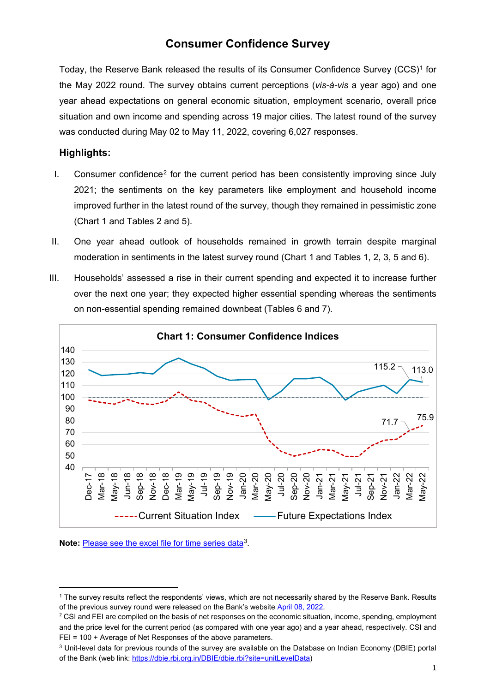# **Consumer Confidence Survey**

Today, the Reserve Bank released the results of its Consumer Confidence Survey (CCS)[1](#page-0-0) for the May 2022 round. The survey obtains current perceptions (*vis-à-vis* a year ago) and one year ahead expectations on general economic situation, employment scenario, overall price situation and own income and spending across 19 major cities. The latest round of the survey was conducted during May 02 to May 11, 2022, covering 6,027 responses.

### **Highlights:**

- I. Consumer confidence<sup>[2](#page-0-1)</sup> for the current period has been consistently improving since July 2021; the sentiments on the key parameters like employment and household income improved further in the latest round of the survey, though they remained in pessimistic zone (Chart 1 and Tables 2 and 5).
- II. One year ahead outlook of households remained in growth terrain despite marginal moderation in sentiments in the latest survey round (Chart 1 and Tables 1, 2, 3, 5 and 6).
- III. Households' assessed a rise in their current spending and expected it to increase further over the next one year; they expected higher essential spending whereas the sentiments on non-essential spending remained downbeat (Tables 6 and 7).



#### **Note:** [Please see the excel file for time series data](https://rbidocs.rbi.org.in/rdocs/content/docs/CCSH08062022.xlsx)[3](#page-0-2).

**.** 

<span id="page-0-0"></span><sup>1</sup> The survey results reflect the respondents' views, which are not necessarily shared by the Reserve Bank. Results of the previous survey round were released on the Bank's website April [08, 2022.](https://www.rbi.org.in/Scripts/PublicationsView.aspx?id=21024)

<span id="page-0-1"></span> $2$  CSI and FEI are compiled on the basis of net responses on the economic situation, income, spending, employment and the price level for the current period (as compared with one year ago) and a year ahead, respectively. CSI and FEI = 100 + Average of Net Responses of the above parameters.

<span id="page-0-2"></span><sup>3</sup> Unit-level data for previous rounds of the survey are available on the Database on Indian Economy (DBIE) portal of the Bank (web link: [https://dbie.rbi.org.in/DBIE/dbie.rbi?site=unitLevelData\)](https://dbie.rbi.org.in/DBIE/dbie.rbi?site=unitLevelData)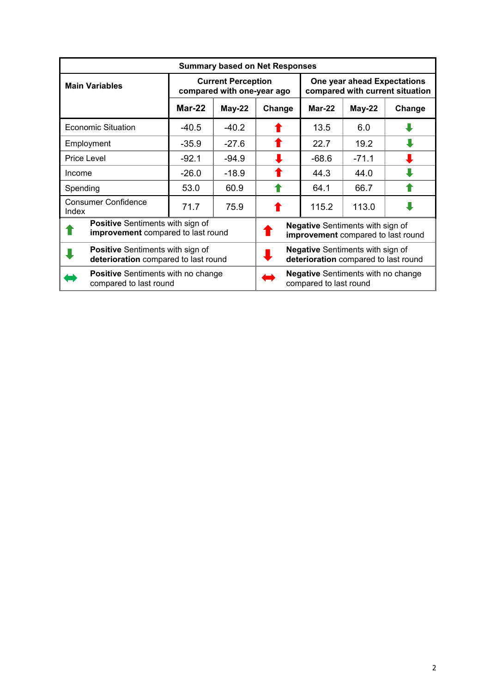|                           | <b>Summary based on Net Responses</b>                                           |                                                                                 |               |                                                                               |                                                                |               |        |  |  |  |  |
|---------------------------|---------------------------------------------------------------------------------|---------------------------------------------------------------------------------|---------------|-------------------------------------------------------------------------------|----------------------------------------------------------------|---------------|--------|--|--|--|--|
| <b>Main Variables</b>     |                                                                                 | <b>Current Perception</b><br>compared with one-year ago                         |               |                                                                               | One year ahead Expectations<br>compared with current situation |               |        |  |  |  |  |
|                           |                                                                                 | <b>Mar-22</b>                                                                   | <b>May-22</b> | Change                                                                        | Mar-22                                                         | <b>May-22</b> | Change |  |  |  |  |
| <b>Economic Situation</b> |                                                                                 | $-40.5$                                                                         | $-40.2$       |                                                                               | 13.5                                                           | 6.0           |        |  |  |  |  |
|                           | Employment                                                                      |                                                                                 | $-27.6$       |                                                                               | 22.7                                                           | 19.2          |        |  |  |  |  |
| Price Level               |                                                                                 | $-92.1$                                                                         | $-94.9$       | ш                                                                             | $-68.6$                                                        | $-71.1$       | ш      |  |  |  |  |
| Income                    |                                                                                 | $-26.0$                                                                         | $-18.9$       |                                                                               | 44.3                                                           | 44.0          |        |  |  |  |  |
| Spending                  |                                                                                 | 53.0                                                                            | 60.9          |                                                                               | 64.1                                                           | 66.7          |        |  |  |  |  |
| Index                     | <b>Consumer Confidence</b>                                                      | 71.7                                                                            | 75.9          |                                                                               | 115.2                                                          | 113.0         |        |  |  |  |  |
|                           | Positive Sentiments with sign of<br>improvement compared to last round          |                                                                                 |               | <b>Negative</b> Sentiments with sign of<br>improvement compared to last round |                                                                |               |        |  |  |  |  |
|                           | <b>Positive</b> Sentiments with sign of<br>deterioration compared to last round | <b>Negative</b> Sentiments with sign of<br>deterioration compared to last round |               |                                                                               |                                                                |               |        |  |  |  |  |
|                           | <b>Positive</b> Sentiments with no change<br>compared to last round             |                                                                                 |               | <b>Negative</b> Sentiments with no change<br>compared to last round           |                                                                |               |        |  |  |  |  |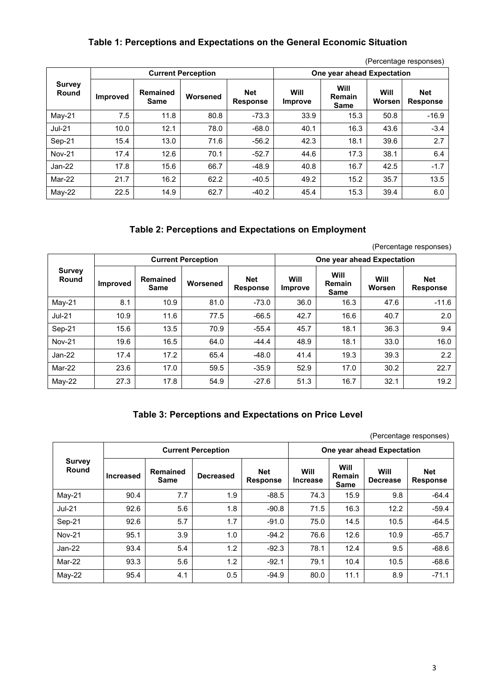### **Table 1: Perceptions and Expectations on the General Economic Situation**

| <b>Survey</b><br>Round |                 |                  | <b>Current Perception</b> |                               | One year ahead Expectation |                               |                       |                               |  |
|------------------------|-----------------|------------------|---------------------------|-------------------------------|----------------------------|-------------------------------|-----------------------|-------------------------------|--|
|                        | <b>Improved</b> | Remained<br>Same | Worsened                  | <b>Net</b><br><b>Response</b> | Will<br><b>Improve</b>     | Will<br>Remain<br><b>Same</b> | <b>Will</b><br>Worsen | <b>Net</b><br><b>Response</b> |  |
| May-21                 | 7.5             | 11.8             | 80.8                      | $-73.3$                       | 33.9                       | 15.3                          | 50.8                  | $-16.9$                       |  |
| $Jul-21$               | 10.0            | 12.1             | 78.0                      | $-68.0$                       | 40.1                       | 16.3                          | 43.6                  | $-3.4$                        |  |
| Sep-21                 | 15.4            | 13.0             | 71.6                      | $-56.2$                       | 42.3                       | 18.1                          | 39.6                  | 2.7                           |  |
| <b>Nov-21</b>          | 17.4            | 12.6             | 70.1                      | $-52.7$                       | 44.6                       | 17.3                          | 38.1                  | 6.4                           |  |
| $Jan-22$               | 17.8            | 15.6             | 66.7                      | $-48.9$                       | 40.8                       | 16.7                          | 42.5                  | $-1.7$                        |  |
| Mar-22                 | 21.7            | 16.2             | 62.2                      | $-40.5$                       | 49.2                       | 15.2                          | 35.7                  | 13.5                          |  |
| $May-22$               | 22.5            | 14.9             | 62.7                      | $-40.2$                       | 45.4                       | 15.3                          | 39.4                  | 6.0                           |  |

(Percentage responses)

### **Table 2: Perceptions and Expectations on Employment**

(Percentage responses)

|                        |                 |                                | <b>Current Perception</b> |                               | One year ahead Expectation |                               |                       |                               |  |  |
|------------------------|-----------------|--------------------------------|---------------------------|-------------------------------|----------------------------|-------------------------------|-----------------------|-------------------------------|--|--|
| <b>Survey</b><br>Round | <b>Improved</b> | <b>Remained</b><br><b>Same</b> | Worsened                  | <b>Net</b><br><b>Response</b> | Will<br>Improve            | Will<br>Remain<br><b>Same</b> | <b>Will</b><br>Worsen | <b>Net</b><br><b>Response</b> |  |  |
| May-21                 | 8.1             | 10.9                           | 81.0                      | $-73.0$                       | 36.0                       | 16.3                          | 47.6                  | $-11.6$                       |  |  |
| $Jul-21$               | 10.9            | 11.6                           | 77.5                      | $-66.5$                       | 42.7                       | 16.6                          | 40.7                  | 2.0                           |  |  |
| Sep-21                 | 15.6            | 13.5                           | 70.9                      | $-55.4$                       | 45.7                       | 18.1                          | 36.3                  | 9.4                           |  |  |
| <b>Nov-21</b>          | 19.6            | 16.5                           | 64.0                      | $-44.4$                       | 48.9                       | 18.1                          | 33.0                  | 16.0                          |  |  |
| $Jan-22$               | 17.4            | 17.2                           | 65.4                      | $-48.0$                       | 41.4                       | 19.3                          | 39.3                  | 2.2                           |  |  |
| Mar-22                 | 23.6            | 17.0                           | 59.5                      | $-35.9$                       | 52.9                       | 17.0                          | 30.2                  | 22.7                          |  |  |
| $May-22$               | 27.3            | 17.8                           | 54.9                      | $-27.6$                       | 51.3                       | 16.7                          | 32.1                  | 19.2                          |  |  |

## **Table 3: Perceptions and Expectations on Price Level**

(Percentage responses)

| <b>Survey</b><br><b>Round</b> |                  | <b>Current Perception</b> |                  |                               |                         |                               | One year ahead Expectation     |                               |  |  |  |
|-------------------------------|------------------|---------------------------|------------------|-------------------------------|-------------------------|-------------------------------|--------------------------------|-------------------------------|--|--|--|
|                               | <b>Increased</b> | Remained<br>Same          | <b>Decreased</b> | <b>Net</b><br><b>Response</b> | Will<br><b>Increase</b> | Will<br>Remain<br><b>Same</b> | <b>Will</b><br><b>Decrease</b> | <b>Net</b><br><b>Response</b> |  |  |  |
| $Mav-21$                      | 90.4             | 7.7                       | 1.9              | $-88.5$                       | 74.3                    | 15.9                          | 9.8                            | $-64.4$                       |  |  |  |
| $Jul-21$                      | 92.6             | 5.6                       | 1.8              | $-90.8$                       | 71.5                    | 16.3                          | 12.2                           | $-59.4$                       |  |  |  |
| Sep-21                        | 92.6             | 5.7                       | 1.7              | $-91.0$                       | 75.0                    | 14.5                          | 10.5                           | $-64.5$                       |  |  |  |
| <b>Nov-21</b>                 | 95.1             | 3.9                       | 1.0              | $-94.2$                       | 76.6                    | 12.6                          | 10.9                           | $-65.7$                       |  |  |  |
| $Jan-22$                      | 93.4             | 5.4                       | 1.2              | $-92.3$                       | 78.1                    | 12.4                          | 9.5                            | $-68.6$                       |  |  |  |
| Mar-22                        | 93.3             | 5.6                       | 1.2              | $-92.1$                       | 79.1                    | 10.4                          | 10.5                           | $-68.6$                       |  |  |  |
| May-22                        | 95.4             | 4.1                       | 0.5              | $-94.9$                       | 80.0                    | 11.1                          | 8.9                            | $-71.1$                       |  |  |  |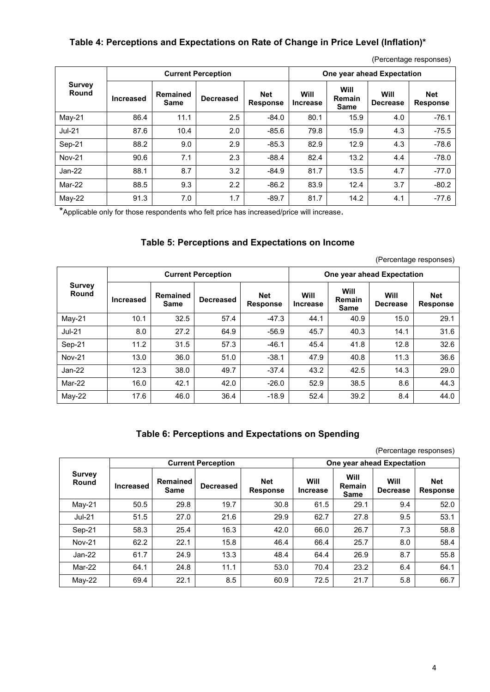### **Table 4: Perceptions and Expectations on Rate of Change in Price Level (Inflation)\***

| <b>Survey</b><br>Round |                  |                  | <b>Current Perception</b> | One year ahead Expectation    |                                |                               |                                |                               |
|------------------------|------------------|------------------|---------------------------|-------------------------------|--------------------------------|-------------------------------|--------------------------------|-------------------------------|
|                        | <b>Increased</b> | Remained<br>Same | <b>Decreased</b>          | <b>Net</b><br><b>Response</b> | <b>Will</b><br><b>Increase</b> | Will<br><b>Remain</b><br>Same | <b>Will</b><br><b>Decrease</b> | <b>Net</b><br><b>Response</b> |
| May-21                 | 86.4             | 11.1             | 2.5                       | $-84.0$                       | 80.1                           | 15.9                          | 4.0                            | $-76.1$                       |
| <b>Jul-21</b>          | 87.6             | 10.4             | 2.0                       | $-85.6$                       | 79.8                           | 15.9                          | 4.3                            | $-75.5$                       |
| Sep-21                 | 88.2             | 9.0              | 2.9                       | $-85.3$                       | 82.9                           | 12.9                          | 4.3                            | $-78.6$                       |
| <b>Nov-21</b>          | 90.6             | 7.1              | 2.3                       | $-88.4$                       | 82.4                           | 13.2                          | 4.4                            | $-78.0$                       |
| $Jan-22$               | 88.1             | 8.7              | 3.2                       | $-84.9$                       | 81.7                           | 13.5                          | 4.7                            | $-77.0$                       |
| Mar-22                 | 88.5             | 9.3              | 2.2                       | $-86.2$                       | 83.9                           | 12.4                          | 3.7                            | $-80.2$                       |
| May-22                 | 91.3             | 7.0              | 1.7                       | $-89.7$                       | 81.7                           | 14.2                          | 4.1                            | $-77.6$                       |

(Percentage responses)

\*Applicable only for those respondents who felt price has increased/price will increase.

#### **Table 5: Perceptions and Expectations on Income**

|                        |                  |                         |                           |                               |                            |                        | (Percentage responses)  |                               |  |
|------------------------|------------------|-------------------------|---------------------------|-------------------------------|----------------------------|------------------------|-------------------------|-------------------------------|--|
| <b>Survey</b><br>Round |                  |                         | <b>Current Perception</b> |                               | One year ahead Expectation |                        |                         |                               |  |
|                        | <b>Increased</b> | <b>Remained</b><br>Same | <b>Decreased</b>          | <b>Net</b><br><b>Response</b> | Will<br><b>Increase</b>    | Will<br>Remain<br>Same | Will<br><b>Decrease</b> | <b>Net</b><br><b>Response</b> |  |
| May-21                 | 10.1             | 32.5                    | 57.4                      | $-47.3$                       | 44.1                       | 40.9                   | 15.0                    | 29.1                          |  |
| $Jul-21$               | 8.0              | 27.2                    | 64.9                      | $-56.9$                       | 45.7                       | 40.3                   | 14.1                    | 31.6                          |  |
| Sep-21                 | 11.2             | 31.5                    | 57.3                      | $-46.1$                       | 45.4                       | 41.8                   | 12.8                    | 32.6                          |  |
| <b>Nov-21</b>          | 13.0             | 36.0                    | 51.0                      | $-38.1$                       | 47.9                       | 40.8                   | 11.3                    | 36.6                          |  |
| $Jan-22$               | 12.3             | 38.0                    | 49.7                      | $-37.4$                       | 43.2                       | 42.5                   | 14.3                    | 29.0                          |  |
| Mar-22                 | 16.0             | 42.1                    | 42.0                      | $-26.0$                       | 52.9                       | 38.5                   | 8.6                     | 44.3                          |  |
| May-22                 | 17.6             | 46.0                    | 36.4                      | $-18.9$                       | 52.4                       | 39.2                   | 8.4                     | 44.0                          |  |

#### **Table 6: Perceptions and Expectations on Spending**

(Percentage responses)

| <b>Survey</b><br><b>Round</b> |                  |                         | <b>Current Perception</b> | One year ahead Expectation    |                         |                               |                         |                               |
|-------------------------------|------------------|-------------------------|---------------------------|-------------------------------|-------------------------|-------------------------------|-------------------------|-------------------------------|
|                               | <b>Increased</b> | <b>Remained</b><br>Same | <b>Decreased</b>          | <b>Net</b><br><b>Response</b> | Will<br><b>Increase</b> | Will<br><b>Remain</b><br>Same | Will<br><b>Decrease</b> | <b>Net</b><br><b>Response</b> |
| $May-21$                      | 50.5             | 29.8                    | 19.7                      | 30.8                          | 61.5                    | 29.1                          | 9.4                     | 52.0                          |
| <b>Jul-21</b>                 | 51.5             | 27.0                    | 21.6                      | 29.9                          | 62.7                    | 27.8                          | 9.5                     | 53.1                          |
| Sep-21                        | 58.3             | 25.4                    | 16.3                      | 42.0                          | 66.0                    | 26.7                          | 7.3                     | 58.8                          |
| <b>Nov-21</b>                 | 62.2             | 22.1                    | 15.8                      | 46.4                          | 66.4                    | 25.7                          | 8.0                     | 58.4                          |
| $Jan-22$                      | 61.7             | 24.9                    | 13.3                      | 48.4                          | 64.4                    | 26.9                          | 8.7                     | 55.8                          |
| Mar-22                        | 64.1             | 24.8                    | 11.1                      | 53.0                          | 70.4                    | 23.2                          | 6.4                     | 64.1                          |
| May-22                        | 69.4             | 22.1                    | 8.5                       | 60.9                          | 72.5                    | 21.7                          | 5.8                     | 66.7                          |